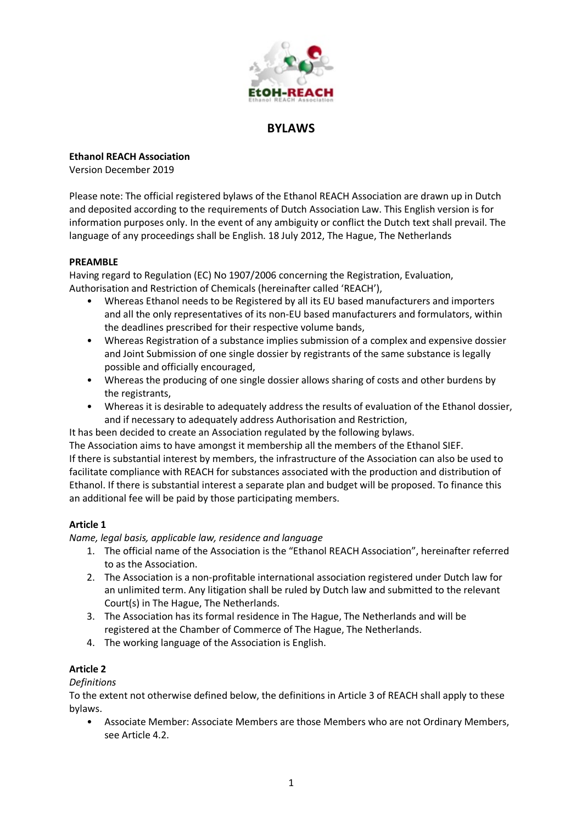

# **BYLAWS**

**Ethanol REACH Association**

Version December 2019

Please note: The official registered bylaws of the Ethanol REACH Association are drawn up in Dutch and deposited according to the requirements of Dutch Association Law. This English version is for information purposes only. In the event of any ambiguity or conflict the Dutch text shall prevail. The language of any proceedings shall be English. 18 July 2012, The Hague, The Netherlands

### **PREAMBLE**

Having regard to Regulation (EC) No 1907/2006 concerning the Registration, Evaluation, Authorisation and Restriction of Chemicals (hereinafter called 'REACH'),

- Whereas Ethanol needs to be Registered by all its EU based manufacturers and importers and all the only representatives of its non-EU based manufacturers and formulators, within the deadlines prescribed for their respective volume bands,
- Whereas Registration of a substance implies submission of a complex and expensive dossier and Joint Submission of one single dossier by registrants of the same substance is legally possible and officially encouraged,
- Whereas the producing of one single dossier allows sharing of costs and other burdens by the registrants,
- Whereas it is desirable to adequately address the results of evaluation of the Ethanol dossier, and if necessary to adequately address Authorisation and Restriction,

It has been decided to create an Association regulated by the following bylaws.

The Association aims to have amongst it membership all the members of the Ethanol SIEF. If there is substantial interest by members, the infrastructure of the Association can also be used to facilitate compliance with REACH for substances associated with the production and distribution of Ethanol. If there is substantial interest a separate plan and budget will be proposed. To finance this an additional fee will be paid by those participating members.

## **Article 1**

*Name, legal basis, applicable law, residence and language*

- 1. The official name of the Association is the "Ethanol REACH Association", hereinafter referred to as the Association.
- 2. The Association is a non-profitable international association registered under Dutch law for an unlimited term. Any litigation shall be ruled by Dutch law and submitted to the relevant Court(s) in The Hague, The Netherlands.
- 3. The Association has its formal residence in The Hague, The Netherlands and will be registered at the Chamber of Commerce of The Hague, The Netherlands.
- 4. The working language of the Association is English.

# **Article 2**

*Definitions*

To the extent not otherwise defined below, the definitions in Article 3 of REACH shall apply to these bylaws.

• Associate Member: Associate Members are those Members who are not Ordinary Members, see Article 4.2.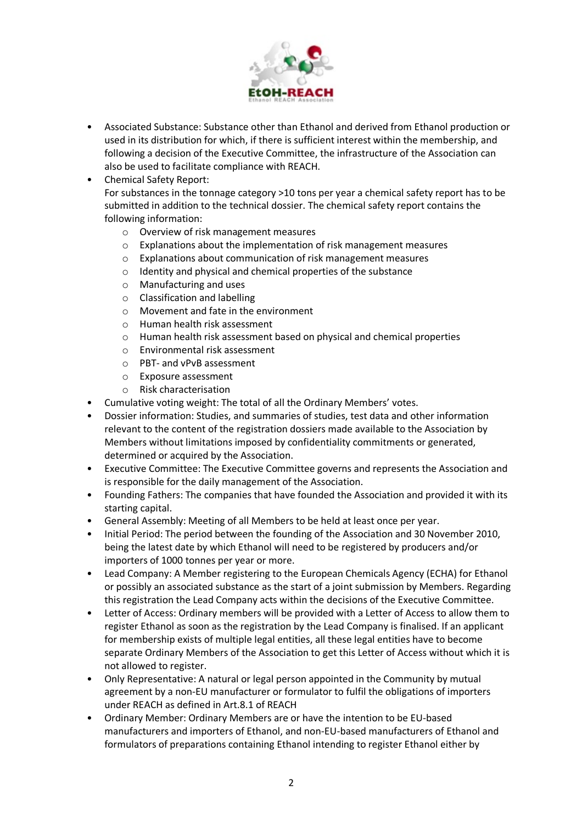

- Associated Substance: Substance other than Ethanol and derived from Ethanol production or used in its distribution for which, if there is sufficient interest within the membership, and following a decision of the Executive Committee, the infrastructure of the Association can also be used to facilitate compliance with REACH.
- Chemical Safety Report: For substances in the tonnage category >10 tons per year a chemical safety report has to be submitted in addition to the technical dossier. The chemical safety report contains the following information:
	- o Overview of risk management measures
	- o Explanations about the implementation of risk management measures
	- o Explanations about communication of risk management measures
	- o Identity and physical and chemical properties of the substance
	- o Manufacturing and uses
	- o Classification and labelling
	- $\circ$  Movement and fate in the environment
	- o Human health risk assessment
	- o Human health risk assessment based on physical and chemical properties
	- o Environmental risk assessment
	- o PBT- and vPvB assessment
	- o Exposure assessment
	- o Risk characterisation
- Cumulative voting weight: The total of all the Ordinary Members' votes.
- Dossier information: Studies, and summaries of studies, test data and other information relevant to the content of the registration dossiers made available to the Association by Members without limitations imposed by confidentiality commitments or generated, determined or acquired by the Association.
- Executive Committee: The Executive Committee governs and represents the Association and is responsible for the daily management of the Association.
- Founding Fathers: The companies that have founded the Association and provided it with its starting capital.
- General Assembly: Meeting of all Members to be held at least once per year.
- Initial Period: The period between the founding of the Association and 30 November 2010, being the latest date by which Ethanol will need to be registered by producers and/or importers of 1000 tonnes per year or more.
- Lead Company: A Member registering to the European Chemicals Agency (ECHA) for Ethanol or possibly an associated substance as the start of a joint submission by Members. Regarding this registration the Lead Company acts within the decisions of the Executive Committee.
- Letter of Access: Ordinary members will be provided with a Letter of Access to allow them to register Ethanol as soon as the registration by the Lead Company is finalised. If an applicant for membership exists of multiple legal entities, all these legal entities have to become separate Ordinary Members of the Association to get this Letter of Access without which it is not allowed to register.
- Only Representative: A natural or legal person appointed in the Community by mutual agreement by a non-EU manufacturer or formulator to fulfil the obligations of importers under REACH as defined in Art.8.1 of REACH
- Ordinary Member: Ordinary Members are or have the intention to be EU-based manufacturers and importers of Ethanol, and non-EU-based manufacturers of Ethanol and formulators of preparations containing Ethanol intending to register Ethanol either by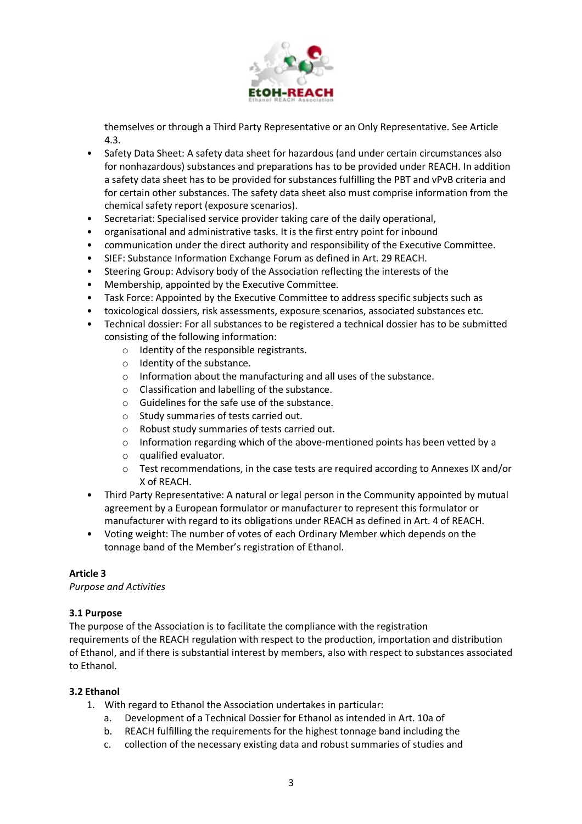

themselves or through a Third Party Representative or an Only Representative. See Article 4.3.

- Safety Data Sheet: A safety data sheet for hazardous (and under certain circumstances also for nonhazardous) substances and preparations has to be provided under REACH. In addition a safety data sheet has to be provided for substances fulfilling the PBT and vPvB criteria and for certain other substances. The safety data sheet also must comprise information from the chemical safety report (exposure scenarios).
- Secretariat: Specialised service provider taking care of the daily operational,
- organisational and administrative tasks. It is the first entry point for inbound
- communication under the direct authority and responsibility of the Executive Committee.
- SIEF: Substance Information Exchange Forum as defined in Art. 29 REACH.
- Steering Group: Advisory body of the Association reflecting the interests of the
- Membership, appointed by the Executive Committee.
- Task Force: Appointed by the Executive Committee to address specific subjects such as
- toxicological dossiers, risk assessments, exposure scenarios, associated substances etc.
- Technical dossier: For all substances to be registered a technical dossier has to be submitted consisting of the following information:
	- o Identity of the responsible registrants.
	- o Identity of the substance.
	- o Information about the manufacturing and all uses of the substance.
	- o Classification and labelling of the substance.
	- o Guidelines for the safe use of the substance.
	- o Study summaries of tests carried out.
	- o Robust study summaries of tests carried out.
	- $\circ$  Information regarding which of the above-mentioned points has been vetted by a
	- o qualified evaluator.
	- o Test recommendations, in the case tests are required according to Annexes IX and/or X of REACH.
- Third Party Representative: A natural or legal person in the Community appointed by mutual agreement by a European formulator or manufacturer to represent this formulator or manufacturer with regard to its obligations under REACH as defined in Art. 4 of REACH.
- Voting weight: The number of votes of each Ordinary Member which depends on the tonnage band of the Member's registration of Ethanol.

### **Article 3**

### *Purpose and Activities*

### **3.1 Purpose**

The purpose of the Association is to facilitate the compliance with the registration requirements of the REACH regulation with respect to the production, importation and distribution of Ethanol, and if there is substantial interest by members, also with respect to substances associated to Ethanol.

### **3.2 Ethanol**

- 1. With regard to Ethanol the Association undertakes in particular:
	- a. Development of a Technical Dossier for Ethanol as intended in Art. 10a of
	- b. REACH fulfilling the requirements for the highest tonnage band including the
	- c. collection of the necessary existing data and robust summaries of studies and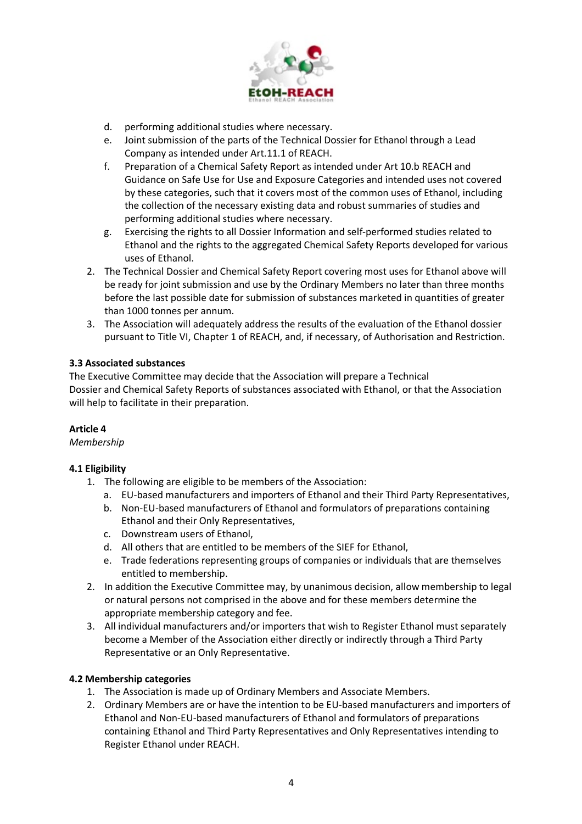

- d. performing additional studies where necessary.
- e. Joint submission of the parts of the Technical Dossier for Ethanol through a Lead Company as intended under Art.11.1 of REACH.
- f. Preparation of a Chemical Safety Report as intended under Art 10.b REACH and Guidance on Safe Use for Use and Exposure Categories and intended uses not covered by these categories, such that it covers most of the common uses of Ethanol, including the collection of the necessary existing data and robust summaries of studies and performing additional studies where necessary.
- g. Exercising the rights to all Dossier Information and self-performed studies related to Ethanol and the rights to the aggregated Chemical Safety Reports developed for various uses of Ethanol.
- 2. The Technical Dossier and Chemical Safety Report covering most uses for Ethanol above will be ready for joint submission and use by the Ordinary Members no later than three months before the last possible date for submission of substances marketed in quantities of greater than 1000 tonnes per annum.
- 3. The Association will adequately address the results of the evaluation of the Ethanol dossier pursuant to Title VI, Chapter 1 of REACH, and, if necessary, of Authorisation and Restriction.

### **3.3 Associated substances**

The Executive Committee may decide that the Association will prepare a Technical Dossier and Chemical Safety Reports of substances associated with Ethanol, or that the Association will help to facilitate in their preparation.

### **Article 4**

*Membership*

## **4.1 Eligibility**

- 1. The following are eligible to be members of the Association:
	- a. EU-based manufacturers and importers of Ethanol and their Third Party Representatives,
	- b. Non-EU-based manufacturers of Ethanol and formulators of preparations containing Ethanol and their Only Representatives,
	- c. Downstream users of Ethanol,
	- d. All others that are entitled to be members of the SIEF for Ethanol,
	- e. Trade federations representing groups of companies or individuals that are themselves entitled to membership.
- 2. In addition the Executive Committee may, by unanimous decision, allow membership to legal or natural persons not comprised in the above and for these members determine the appropriate membership category and fee.
- 3. All individual manufacturers and/or importers that wish to Register Ethanol must separately become a Member of the Association either directly or indirectly through a Third Party Representative or an Only Representative.

### **4.2 Membership categories**

- 1. The Association is made up of Ordinary Members and Associate Members.
- 2. Ordinary Members are or have the intention to be EU-based manufacturers and importers of Ethanol and Non-EU-based manufacturers of Ethanol and formulators of preparations containing Ethanol and Third Party Representatives and Only Representatives intending to Register Ethanol under REACH.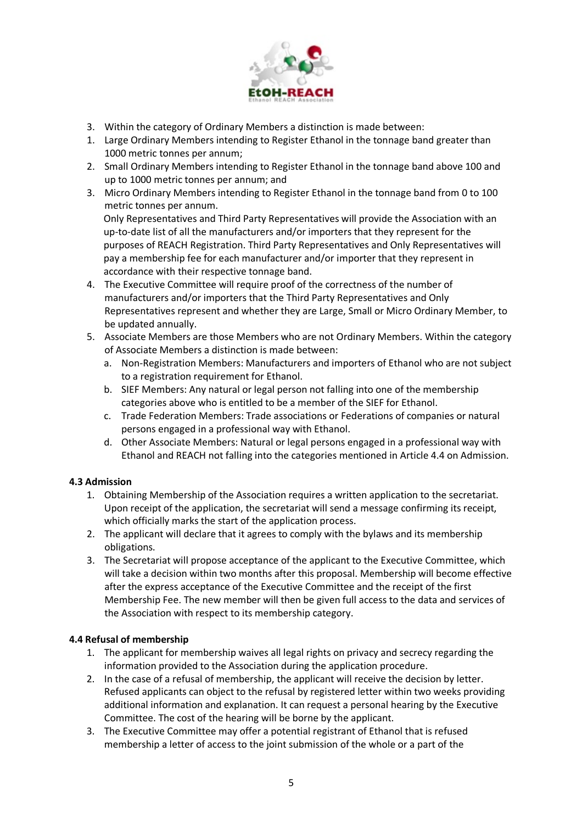

- 3. Within the category of Ordinary Members a distinction is made between:
- 1. Large Ordinary Members intending to Register Ethanol in the tonnage band greater than 1000 metric tonnes per annum;
- 2. Small Ordinary Members intending to Register Ethanol in the tonnage band above 100 and up to 1000 metric tonnes per annum; and
- 3. Micro Ordinary Members intending to Register Ethanol in the tonnage band from 0 to 100 metric tonnes per annum. Only Representatives and Third Party Representatives will provide the Association with an up-to-date list of all the manufacturers and/or importers that they represent for the purposes of REACH Registration. Third Party Representatives and Only Representatives will

pay a membership fee for each manufacturer and/or importer that they represent in accordance with their respective tonnage band.

- 4. The Executive Committee will require proof of the correctness of the number of manufacturers and/or importers that the Third Party Representatives and Only Representatives represent and whether they are Large, Small or Micro Ordinary Member, to be updated annually.
- 5. Associate Members are those Members who are not Ordinary Members. Within the category of Associate Members a distinction is made between:
	- a. Non-Registration Members: Manufacturers and importers of Ethanol who are not subject to a registration requirement for Ethanol.
	- b. SIEF Members: Any natural or legal person not falling into one of the membership categories above who is entitled to be a member of the SIEF for Ethanol.
	- c. Trade Federation Members: Trade associations or Federations of companies or natural persons engaged in a professional way with Ethanol.
	- d. Other Associate Members: Natural or legal persons engaged in a professional way with Ethanol and REACH not falling into the categories mentioned in Article 4.4 on Admission.

## **4.3 Admission**

- 1. Obtaining Membership of the Association requires a written application to the secretariat. Upon receipt of the application, the secretariat will send a message confirming its receipt, which officially marks the start of the application process.
- 2. The applicant will declare that it agrees to comply with the bylaws and its membership obligations.
- 3. The Secretariat will propose acceptance of the applicant to the Executive Committee, which will take a decision within two months after this proposal. Membership will become effective after the express acceptance of the Executive Committee and the receipt of the first Membership Fee. The new member will then be given full access to the data and services of the Association with respect to its membership category.

### **4.4 Refusal of membership**

- 1. The applicant for membership waives all legal rights on privacy and secrecy regarding the information provided to the Association during the application procedure.
- 2. In the case of a refusal of membership, the applicant will receive the decision by letter. Refused applicants can object to the refusal by registered letter within two weeks providing additional information and explanation. It can request a personal hearing by the Executive Committee. The cost of the hearing will be borne by the applicant.
- 3. The Executive Committee may offer a potential registrant of Ethanol that is refused membership a letter of access to the joint submission of the whole or a part of the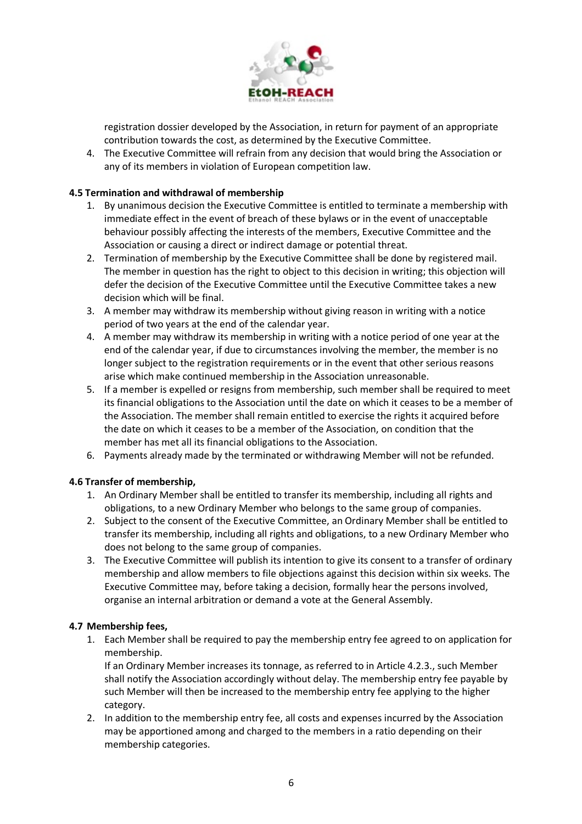

registration dossier developed by the Association, in return for payment of an appropriate contribution towards the cost, as determined by the Executive Committee.

4. The Executive Committee will refrain from any decision that would bring the Association or any of its members in violation of European competition law.

### **4.5 Termination and withdrawal of membership**

- 1. By unanimous decision the Executive Committee is entitled to terminate a membership with immediate effect in the event of breach of these bylaws or in the event of unacceptable behaviour possibly affecting the interests of the members, Executive Committee and the Association or causing a direct or indirect damage or potential threat.
- 2. Termination of membership by the Executive Committee shall be done by registered mail. The member in question has the right to object to this decision in writing; this objection will defer the decision of the Executive Committee until the Executive Committee takes a new decision which will be final.
- 3. A member may withdraw its membership without giving reason in writing with a notice period of two years at the end of the calendar year.
- 4. A member may withdraw its membership in writing with a notice period of one year at the end of the calendar year, if due to circumstances involving the member, the member is no longer subject to the registration requirements or in the event that other serious reasons arise which make continued membership in the Association unreasonable.
- 5. If a member is expelled or resigns from membership, such member shall be required to meet its financial obligations to the Association until the date on which it ceases to be a member of the Association. The member shall remain entitled to exercise the rights it acquired before the date on which it ceases to be a member of the Association, on condition that the member has met all its financial obligations to the Association.
- 6. Payments already made by the terminated or withdrawing Member will not be refunded.

### **4.6 Transfer of membership,**

- 1. An Ordinary Member shall be entitled to transfer its membership, including all rights and obligations, to a new Ordinary Member who belongs to the same group of companies.
- 2. Subject to the consent of the Executive Committee, an Ordinary Member shall be entitled to transfer its membership, including all rights and obligations, to a new Ordinary Member who does not belong to the same group of companies.
- 3. The Executive Committee will publish its intention to give its consent to a transfer of ordinary membership and allow members to file objections against this decision within six weeks. The Executive Committee may, before taking a decision, formally hear the persons involved, organise an internal arbitration or demand a vote at the General Assembly.

### **4.7 Membership fees,**

1. Each Member shall be required to pay the membership entry fee agreed to on application for membership.

If an Ordinary Member increases its tonnage, as referred to in Article 4.2.3., such Member shall notify the Association accordingly without delay. The membership entry fee payable by such Member will then be increased to the membership entry fee applying to the higher category.

2. In addition to the membership entry fee, all costs and expenses incurred by the Association may be apportioned among and charged to the members in a ratio depending on their membership categories.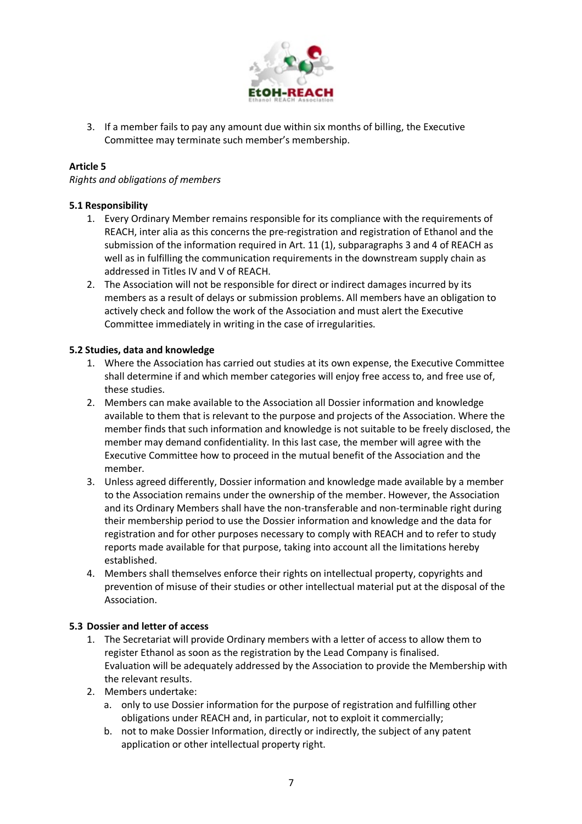

3. If a member fails to pay any amount due within six months of billing, the Executive Committee may terminate such member's membership.

### **Article 5**

*Rights and obligations of members*

### **5.1 Responsibility**

- 1. Every Ordinary Member remains responsible for its compliance with the requirements of REACH, inter alia as this concerns the pre-registration and registration of Ethanol and the submission of the information required in Art. 11 (1), subparagraphs 3 and 4 of REACH as well as in fulfilling the communication requirements in the downstream supply chain as addressed in Titles IV and V of REACH.
- 2. The Association will not be responsible for direct or indirect damages incurred by its members as a result of delays or submission problems. All members have an obligation to actively check and follow the work of the Association and must alert the Executive Committee immediately in writing in the case of irregularities.

### **5.2 Studies, data and knowledge**

- 1. Where the Association has carried out studies at its own expense, the Executive Committee shall determine if and which member categories will enjoy free access to, and free use of, these studies.
- 2. Members can make available to the Association all Dossier information and knowledge available to them that is relevant to the purpose and projects of the Association. Where the member finds that such information and knowledge is not suitable to be freely disclosed, the member may demand confidentiality. In this last case, the member will agree with the Executive Committee how to proceed in the mutual benefit of the Association and the member.
- 3. Unless agreed differently, Dossier information and knowledge made available by a member to the Association remains under the ownership of the member. However, the Association and its Ordinary Members shall have the non-transferable and non-terminable right during their membership period to use the Dossier information and knowledge and the data for registration and for other purposes necessary to comply with REACH and to refer to study reports made available for that purpose, taking into account all the limitations hereby established.
- 4. Members shall themselves enforce their rights on intellectual property, copyrights and prevention of misuse of their studies or other intellectual material put at the disposal of the Association.

### **5.3 Dossier and letter of access**

- 1. The Secretariat will provide Ordinary members with a letter of access to allow them to register Ethanol as soon as the registration by the Lead Company is finalised. Evaluation will be adequately addressed by the Association to provide the Membership with the relevant results.
- 2. Members undertake:
	- a. only to use Dossier information for the purpose of registration and fulfilling other obligations under REACH and, in particular, not to exploit it commercially;
	- b. not to make Dossier Information, directly or indirectly, the subject of any patent application or other intellectual property right.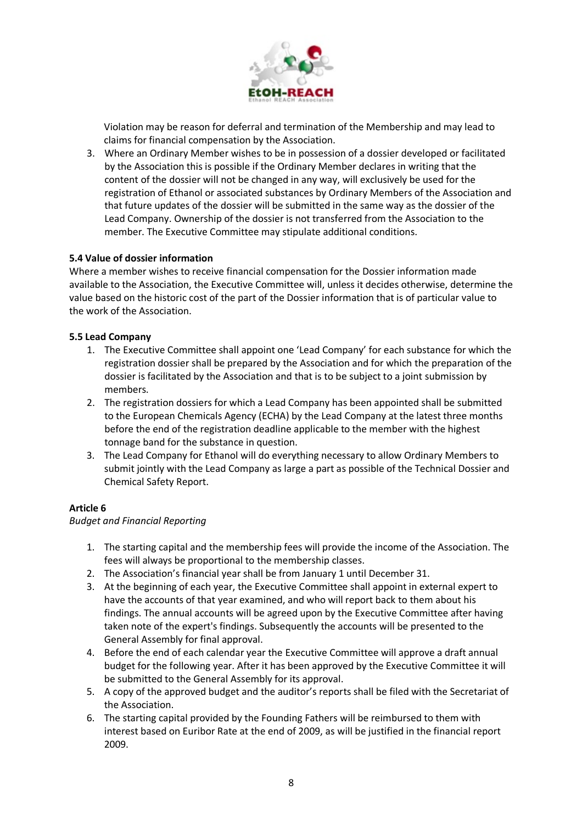

Violation may be reason for deferral and termination of the Membership and may lead to claims for financial compensation by the Association.

3. Where an Ordinary Member wishes to be in possession of a dossier developed or facilitated by the Association this is possible if the Ordinary Member declares in writing that the content of the dossier will not be changed in any way, will exclusively be used for the registration of Ethanol or associated substances by Ordinary Members of the Association and that future updates of the dossier will be submitted in the same way as the dossier of the Lead Company. Ownership of the dossier is not transferred from the Association to the member. The Executive Committee may stipulate additional conditions.

### **5.4 Value of dossier information**

Where a member wishes to receive financial compensation for the Dossier information made available to the Association, the Executive Committee will, unless it decides otherwise, determine the value based on the historic cost of the part of the Dossier information that is of particular value to the work of the Association.

### **5.5 Lead Company**

- 1. The Executive Committee shall appoint one 'Lead Company' for each substance for which the registration dossier shall be prepared by the Association and for which the preparation of the dossier is facilitated by the Association and that is to be subject to a joint submission by members.
- 2. The registration dossiers for which a Lead Company has been appointed shall be submitted to the European Chemicals Agency (ECHA) by the Lead Company at the latest three months before the end of the registration deadline applicable to the member with the highest tonnage band for the substance in question.
- 3. The Lead Company for Ethanol will do everything necessary to allow Ordinary Members to submit jointly with the Lead Company as large a part as possible of the Technical Dossier and Chemical Safety Report.

## **Article 6**

*Budget and Financial Reporting*

- 1. The starting capital and the membership fees will provide the income of the Association. The fees will always be proportional to the membership classes.
- 2. The Association's financial year shall be from January 1 until December 31.
- 3. At the beginning of each year, the Executive Committee shall appoint in external expert to have the accounts of that year examined, and who will report back to them about his findings. The annual accounts will be agreed upon by the Executive Committee after having taken note of the expert's findings. Subsequently the accounts will be presented to the General Assembly for final approval.
- 4. Before the end of each calendar year the Executive Committee will approve a draft annual budget for the following year. After it has been approved by the Executive Committee it will be submitted to the General Assembly for its approval.
- 5. A copy of the approved budget and the auditor's reports shall be filed with the Secretariat of the Association.
- 6. The starting capital provided by the Founding Fathers will be reimbursed to them with interest based on Euribor Rate at the end of 2009, as will be justified in the financial report 2009.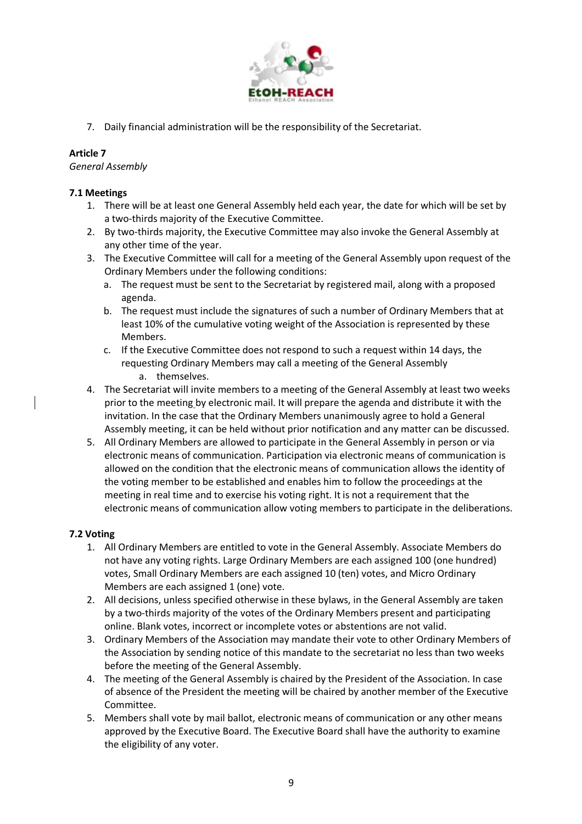

7. Daily financial administration will be the responsibility of the Secretariat.

# **Article 7**

*General Assembly*

## **7.1 Meetings**

- 1. There will be at least one General Assembly held each year, the date for which will be set by a two-thirds majority of the Executive Committee.
- 2. By two-thirds majority, the Executive Committee may also invoke the General Assembly at any other time of the year.
- 3. The Executive Committee will call for a meeting of the General Assembly upon request of the Ordinary Members under the following conditions:
	- a. The request must be sent to the Secretariat by registered mail, along with a proposed agenda.
	- b. The request must include the signatures of such a number of Ordinary Members that at least 10% of the cumulative voting weight of the Association is represented by these Members.
	- c. If the Executive Committee does not respond to such a request within 14 days, the requesting Ordinary Members may call a meeting of the General Assembly a. themselves.
- 4. The Secretariat will invite members to a meeting of the General Assembly at least two weeks prior to the meeting by electronic mail. It will prepare the agenda and distribute it with the invitation. In the case that the Ordinary Members unanimously agree to hold a General Assembly meeting, it can be held without prior notification and any matter can be discussed.
- 5. All Ordinary Members are allowed to participate in the General Assembly in person or via electronic means of communication. Participation via electronic means of communication is allowed on the condition that the electronic means of communication allows the identity of the voting member to be established and enables him to follow the proceedings at the meeting in real time and to exercise his voting right. It is not a requirement that the electronic means of communication allow voting members to participate in the deliberations.

## **7.2 Voting**

- 1. All Ordinary Members are entitled to vote in the General Assembly. Associate Members do not have any voting rights. Large Ordinary Members are each assigned 100 (one hundred) votes, Small Ordinary Members are each assigned 10 (ten) votes, and Micro Ordinary Members are each assigned 1 (one) vote.
- 2. All decisions, unless specified otherwise in these bylaws, in the General Assembly are taken by a two-thirds majority of the votes of the Ordinary Members present and participating online. Blank votes, incorrect or incomplete votes or abstentions are not valid.
- 3. Ordinary Members of the Association may mandate their vote to other Ordinary Members of the Association by sending notice of this mandate to the secretariat no less than two weeks before the meeting of the General Assembly.
- 4. The meeting of the General Assembly is chaired by the President of the Association. In case of absence of the President the meeting will be chaired by another member of the Executive Committee.
- 5. Members shall vote by mail ballot, electronic means of communication or any other means approved by the Executive Board. The Executive Board shall have the authority to examine the eligibility of any voter.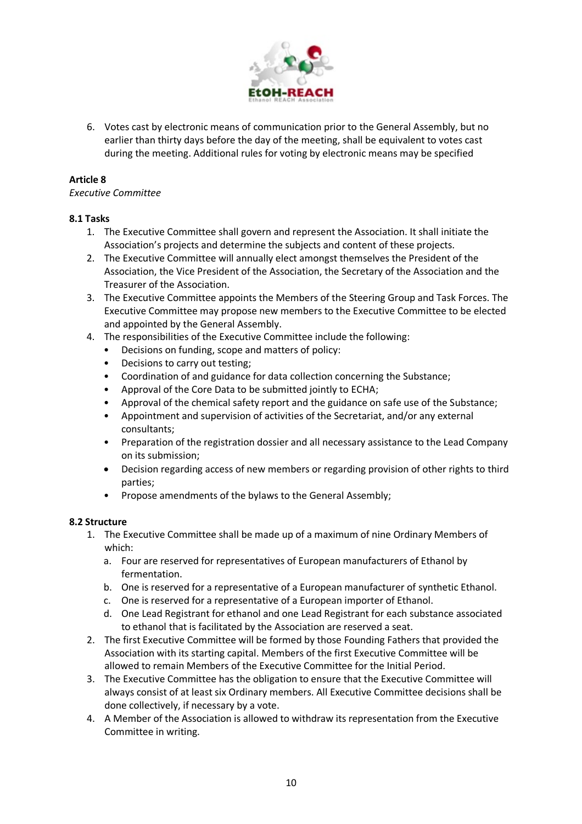

6. Votes cast by electronic means of communication prior to the General Assembly, but no earlier than thirty days before the day of the meeting, shall be equivalent to votes cast during the meeting. Additional rules for voting by electronic means may be specified

## **Article 8**

### *Executive Committee*

## **8.1 Tasks**

- 1. The Executive Committee shall govern and represent the Association. It shall initiate the Association's projects and determine the subjects and content of these projects.
- 2. The Executive Committee will annually elect amongst themselves the President of the Association, the Vice President of the Association, the Secretary of the Association and the Treasurer of the Association.
- 3. The Executive Committee appoints the Members of the Steering Group and Task Forces. The Executive Committee may propose new members to the Executive Committee to be elected and appointed by the General Assembly.
- 4. The responsibilities of the Executive Committee include the following:
	- Decisions on funding, scope and matters of policy:
	- Decisions to carry out testing;
	- Coordination of and guidance for data collection concerning the Substance;
	- Approval of the Core Data to be submitted jointly to ECHA;
	- Approval of the chemical safety report and the guidance on safe use of the Substance;
	- Appointment and supervision of activities of the Secretariat, and/or any external consultants;
	- Preparation of the registration dossier and all necessary assistance to the Lead Company on its submission;
	- Decision regarding access of new members or regarding provision of other rights to third parties;
	- Propose amendments of the bylaws to the General Assembly;

## **8.2 Structure**

- 1. The Executive Committee shall be made up of a maximum of nine Ordinary Members of which:
	- a. Four are reserved for representatives of European manufacturers of Ethanol by fermentation.
	- b. One is reserved for a representative of a European manufacturer of synthetic Ethanol.
	- c. One is reserved for a representative of a European importer of Ethanol.
	- d. One Lead Registrant for ethanol and one Lead Registrant for each substance associated to ethanol that is facilitated by the Association are reserved a seat.
- 2. The first Executive Committee will be formed by those Founding Fathers that provided the Association with its starting capital. Members of the first Executive Committee will be allowed to remain Members of the Executive Committee for the Initial Period.
- 3. The Executive Committee has the obligation to ensure that the Executive Committee will always consist of at least six Ordinary members. All Executive Committee decisions shall be done collectively, if necessary by a vote.
- 4. A Member of the Association is allowed to withdraw its representation from the Executive Committee in writing.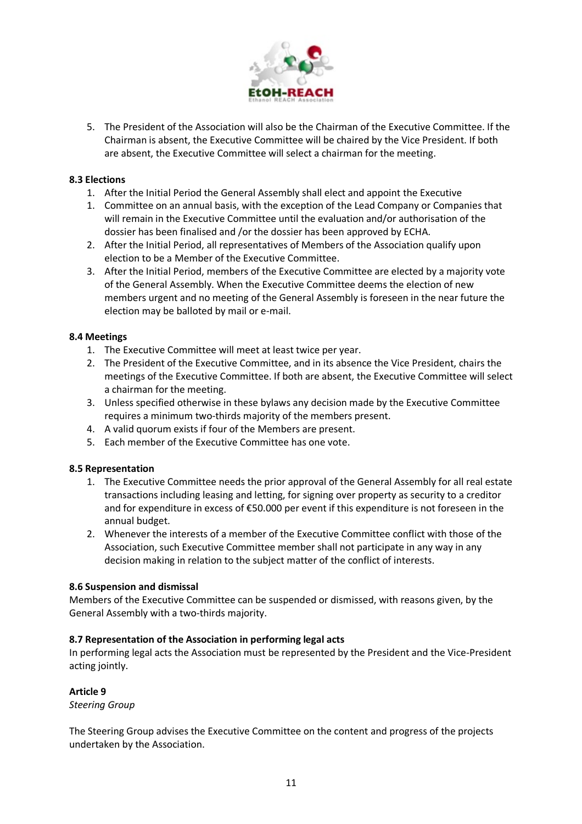

5. The President of the Association will also be the Chairman of the Executive Committee. If the Chairman is absent, the Executive Committee will be chaired by the Vice President. If both are absent, the Executive Committee will select a chairman for the meeting.

### **8.3 Elections**

- 1. After the Initial Period the General Assembly shall elect and appoint the Executive
- 1. Committee on an annual basis, with the exception of the Lead Company or Companies that will remain in the Executive Committee until the evaluation and/or authorisation of the dossier has been finalised and /or the dossier has been approved by ECHA.
- 2. After the Initial Period, all representatives of Members of the Association qualify upon election to be a Member of the Executive Committee.
- 3. After the Initial Period, members of the Executive Committee are elected by a majority vote of the General Assembly. When the Executive Committee deems the election of new members urgent and no meeting of the General Assembly is foreseen in the near future the election may be balloted by mail or e-mail.

### **8.4 Meetings**

- 1. The Executive Committee will meet at least twice per year.
- 2. The President of the Executive Committee, and in its absence the Vice President, chairs the meetings of the Executive Committee. If both are absent, the Executive Committee will select a chairman for the meeting.
- 3. Unless specified otherwise in these bylaws any decision made by the Executive Committee requires a minimum two-thirds majority of the members present.
- 4. A valid quorum exists if four of the Members are present.
- 5. Each member of the Executive Committee has one vote.

### **8.5 Representation**

- 1. The Executive Committee needs the prior approval of the General Assembly for all real estate transactions including leasing and letting, for signing over property as security to a creditor and for expenditure in excess of €50.000 per event if this expenditure is not foreseen in the annual budget.
- 2. Whenever the interests of a member of the Executive Committee conflict with those of the Association, such Executive Committee member shall not participate in any way in any decision making in relation to the subject matter of the conflict of interests.

### **8.6 Suspension and dismissal**

Members of the Executive Committee can be suspended or dismissed, with reasons given, by the General Assembly with a two-thirds majority.

### **8.7 Representation of the Association in performing legal acts**

In performing legal acts the Association must be represented by the President and the Vice-President acting jointly.

### **Article 9**

*Steering Group*

The Steering Group advises the Executive Committee on the content and progress of the projects undertaken by the Association.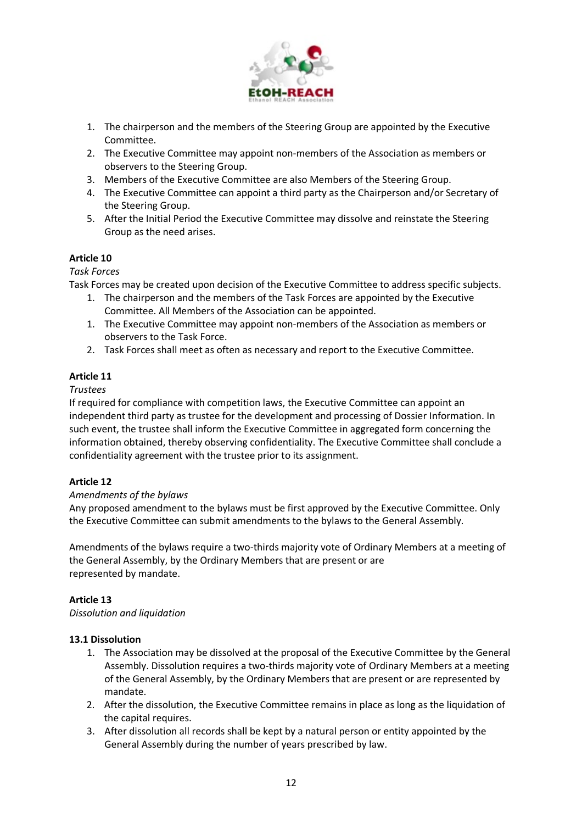

- 1. The chairperson and the members of the Steering Group are appointed by the Executive Committee.
- 2. The Executive Committee may appoint non-members of the Association as members or observers to the Steering Group.
- 3. Members of the Executive Committee are also Members of the Steering Group.
- 4. The Executive Committee can appoint a third party as the Chairperson and/or Secretary of the Steering Group.
- 5. After the Initial Period the Executive Committee may dissolve and reinstate the Steering Group as the need arises.

### **Article 10**

### *Task Forces*

Task Forces may be created upon decision of the Executive Committee to address specific subjects.

- 1. The chairperson and the members of the Task Forces are appointed by the Executive Committee. All Members of the Association can be appointed.
- 1. The Executive Committee may appoint non-members of the Association as members or observers to the Task Force.
- 2. Task Forces shall meet as often as necessary and report to the Executive Committee.

## **Article 11**

### *Trustees*

If required for compliance with competition laws, the Executive Committee can appoint an independent third party as trustee for the development and processing of Dossier Information. In such event, the trustee shall inform the Executive Committee in aggregated form concerning the information obtained, thereby observing confidentiality. The Executive Committee shall conclude a confidentiality agreement with the trustee prior to its assignment.

## **Article 12**

### *Amendments of the bylaws*

Any proposed amendment to the bylaws must be first approved by the Executive Committee. Only the Executive Committee can submit amendments to the bylaws to the General Assembly.

Amendments of the bylaws require a two-thirds majority vote of Ordinary Members at a meeting of the General Assembly, by the Ordinary Members that are present or are represented by mandate.

## **Article 13**

*Dissolution and liquidation*

## **13.1 Dissolution**

- 1. The Association may be dissolved at the proposal of the Executive Committee by the General Assembly. Dissolution requires a two-thirds majority vote of Ordinary Members at a meeting of the General Assembly, by the Ordinary Members that are present or are represented by mandate.
- 2. After the dissolution, the Executive Committee remains in place as long as the liquidation of the capital requires.
- 3. After dissolution all records shall be kept by a natural person or entity appointed by the General Assembly during the number of years prescribed by law.